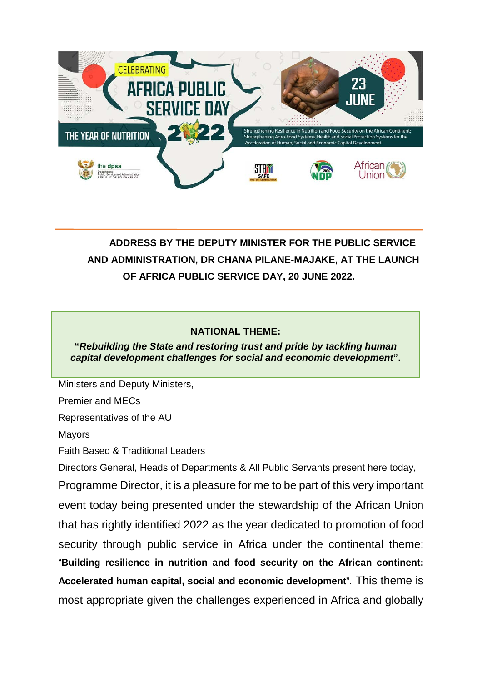

# **ADDRESS BY THE DEPUTY MINISTER FOR THE PUBLIC SERVICE AND ADMINISTRATION, DR CHANA PILANE-MAJAKE, AT THE LAUNCH OF AFRICA PUBLIC SERVICE DAY, 20 JUNE 2022.**

### **NATIONAL THEME:**

#### Programme Director, **"***Rebuilding the State and restoring trust and pride by tackling human capital development challenges for social and economic development***".**

Ministers and Deputy Ministers,

Premier and MECs

Representatives of the AU

Mayors

Faith Based & Traditional Leaders

Directors General, Heads of Departments & All Public Servants present here today,

Programme Director, it is a pleasure for me to be part of this very important event today being presented under the stewardship of the African Union that has rightly identified 2022 as the year dedicated to promotion of food security through public service in Africa under the continental theme: "**Building resilience in nutrition and food security on the African continent: Accelerated human capital, social and economic development**". This theme is most appropriate given the challenges experienced in Africa and globally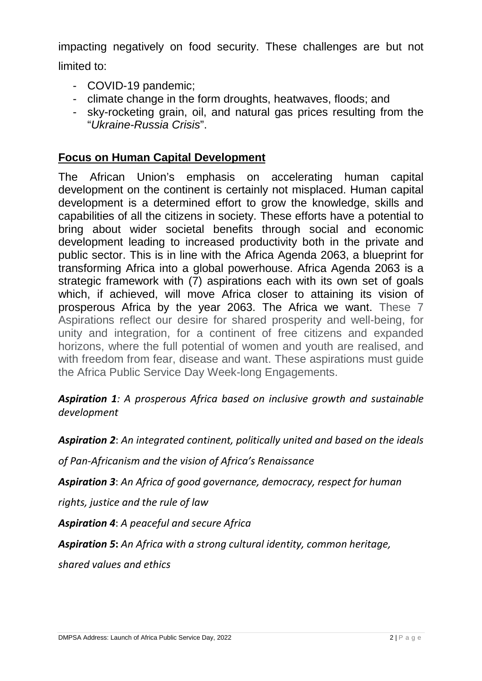impacting negatively on food security. These challenges are but not limited to:

- COVID-19 pandemic;
	- climate change in the form droughts, heatwaves, floods; and
	- sky-rocketing grain, oil, and natural gas prices resulting from the "*Ukraine-Russia Crisis*".

### **Focus on Human Capital Development**

The African Union's emphasis on accelerating human capital development on the continent is certainly not misplaced. Human capital development is a determined effort to grow the knowledge, skills and capabilities of all the citizens in society. These efforts have a potential to bring about wider societal benefits through social and economic development leading to increased productivity both in the private and public sector. This is in line with the Africa Agenda 2063, a blueprint for transforming Africa into a global powerhouse. Africa Agenda 2063 is a strategic framework with (7) aspirations each with its own set of goals which, if achieved, will move Africa closer to attaining its vision of prosperous Africa by the year 2063. The Africa we want. These 7 Aspirations reflect our desire for shared prosperity and well-being, for unity and integration, for a continent of free citizens and expanded horizons, where the full potential of women and youth are realised, and with freedom from fear, disease and want. These aspirations must guide the Africa Public Service Day Week-long Engagements.

*Aspiration 1: A prosperous Africa based on inclusive growth and sustainable development*

*Aspiration 2*: *An integrated continent, politically united and based on the ideals*

*of Pan-Africanism and the vision of Africa's Renaissance*

*Aspiration 3*: *An Africa of good governance, democracy, respect for human*

*rights, justice and the rule of law*

*Aspiration 4*: *A peaceful and secure Africa*

*Aspiration 5***:** *An Africa with a strong cultural identity, common heritage,*

*shared values and ethics*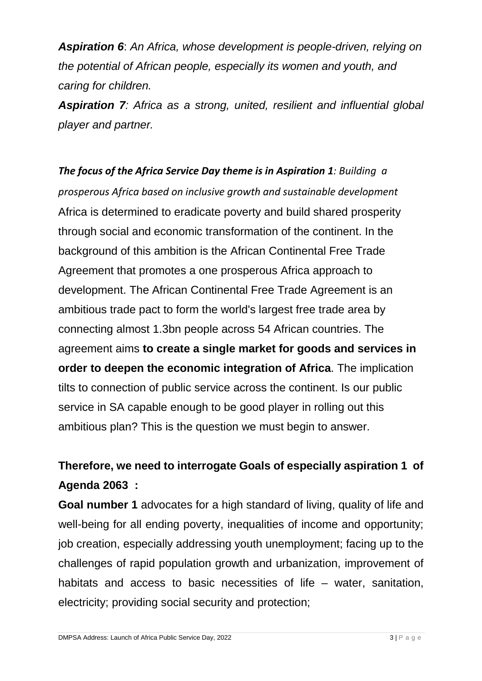*Aspiration 6*: *An Africa, whose development is people-driven, relying on the potential of African people, especially its women and youth, and caring for children.*

*Aspiration 7: Africa as a strong, united, resilient and influential global player and partner.*

*The focus of the Africa Service Day theme is in Aspiration 1: Building a prosperous Africa based on inclusive growth and sustainable development* Africa is determined to eradicate poverty and build shared prosperity through social and economic transformation of the continent. In the background of this ambition is the African Continental Free Trade Agreement that promotes a one prosperous Africa approach to development. The African Continental Free Trade Agreement is an ambitious trade pact to form the world's largest free trade area by connecting almost 1.3bn people across 54 African countries. The agreement aims **to create a single market for goods and services in order to deepen the economic integration of Africa**. The implication tilts to connection of public service across the continent. Is our public service in SA capable enough to be good player in rolling out this ambitious plan? This is the question we must begin to answer.

# **Therefore, we need to interrogate Goals of especially aspiration 1 of Agenda 2063 :**

**Goal number 1** advocates for a high standard of living, quality of life and well-being for all ending poverty, inequalities of income and opportunity; job creation, especially addressing youth unemployment; facing up to the challenges of rapid population growth and urbanization, improvement of habitats and access to basic necessities of life – water, sanitation, electricity; providing social security and protection;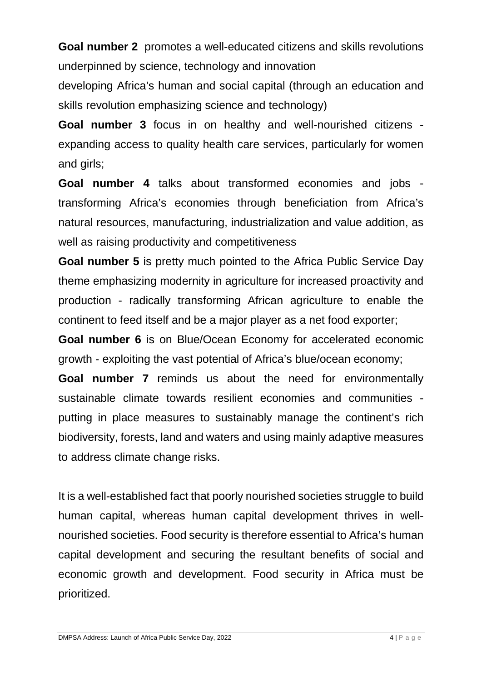**Goal number 2** promotes a well-educated citizens and skills revolutions underpinned by science, technology and innovation

developing Africa's human and social capital (through an education and skills revolution emphasizing science and technology)

**Goal number 3** focus in on healthy and well-nourished citizens expanding access to quality health care services, particularly for women and girls;

**Goal number 4** talks about transformed economies and jobs transforming Africa's economies through beneficiation from Africa's natural resources, manufacturing, industrialization and value addition, as well as raising productivity and competitiveness

**Goal number 5** is pretty much pointed to the Africa Public Service Day theme emphasizing modernity in agriculture for increased proactivity and production - radically transforming African agriculture to enable the continent to feed itself and be a major player as a net food exporter;

**Goal number 6** is on Blue/Ocean Economy for accelerated economic growth - exploiting the vast potential of Africa's blue/ocean economy;

**Goal number 7** reminds us about the need for environmentally sustainable climate towards resilient economies and communities putting in place measures to sustainably manage the continent's rich biodiversity, forests, land and waters and using mainly adaptive measures to address climate change risks.

It is a well-established fact that poorly nourished societies struggle to build human capital, whereas human capital development thrives in wellnourished societies. Food security is therefore essential to Africa's human capital development and securing the resultant benefits of social and economic growth and development. Food security in Africa must be prioritized.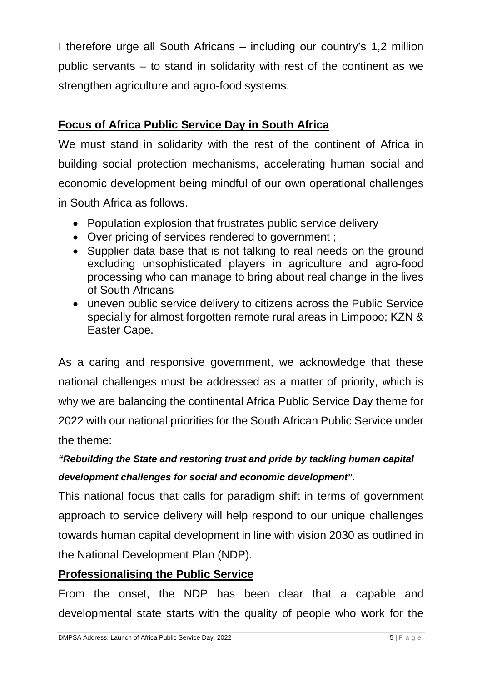I therefore urge all South Africans – including our country's 1,2 million public servants – to stand in solidarity with rest of the continent as we strengthen agriculture and agro-food systems.

## **Focus of Africa Public Service Day in South Africa**

We must stand in solidarity with the rest of the continent of Africa in building social protection mechanisms, accelerating human social and economic development being mindful of our own operational challenges in South Africa as follows.

- Population explosion that frustrates public service delivery
- Over pricing of services rendered to government ;
- Supplier data base that is not talking to real needs on the ground excluding unsophisticated players in agriculture and agro-food processing who can manage to bring about real change in the lives of South Africans
- uneven public service delivery to citizens across the Public Service specially for almost forgotten remote rural areas in Limpopo; KZN & Easter Cape.

As a caring and responsive government, we acknowledge that these national challenges must be addressed as a matter of priority, which is why we are balancing the continental Africa Public Service Day theme for 2022 with our national priorities for the South African Public Service under the theme:

# *"Rebuilding the State and restoring trust and pride by tackling human capital development challenges for social and economic development".*

This national focus that calls for paradigm shift in terms of government approach to service delivery will help respond to our unique challenges towards human capital development in line with vision 2030 as outlined in the National Development Plan (NDP).

### **Professionalising the Public Service**

From the onset, the NDP has been clear that a capable and developmental state starts with the quality of people who work for the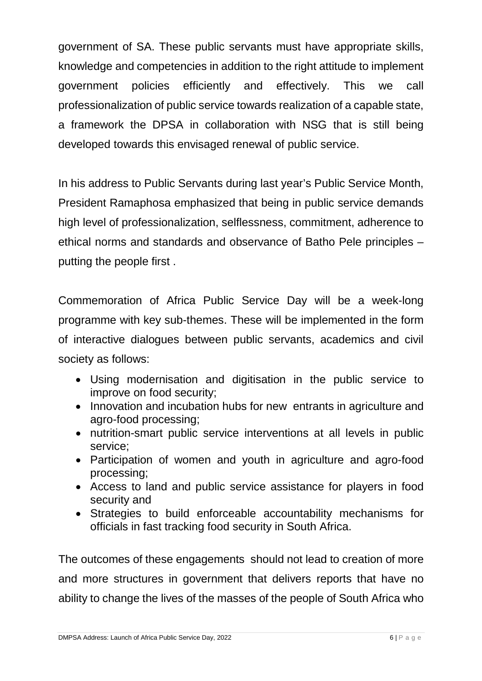government of SA. These public servants must have appropriate skills, knowledge and competencies in addition to the right attitude to implement government policies efficiently and effectively. This we call professionalization of public service towards realization of a capable state, a framework the DPSA in collaboration with NSG that is still being developed towards this envisaged renewal of public service.

In his address to Public Servants during last year's Public Service Month, President Ramaphosa emphasized that being in public service demands high level of professionalization, selflessness, commitment, adherence to ethical norms and standards and observance of Batho Pele principles – putting the people first .

Commemoration of Africa Public Service Day will be a week-long programme with key sub-themes. These will be implemented in the form of interactive dialogues between public servants, academics and civil society as follows:

- Using modernisation and digitisation in the public service to improve on food security;
- Innovation and incubation hubs for new entrants in agriculture and agro-food processing;
- nutrition-smart public service interventions at all levels in public service;
- Participation of women and youth in agriculture and agro-food processing;
- Access to land and public service assistance for players in food security and
- Strategies to build enforceable accountability mechanisms for officials in fast tracking food security in South Africa.

The outcomes of these engagements should not lead to creation of more and more structures in government that delivers reports that have no ability to change the lives of the masses of the people of South Africa who